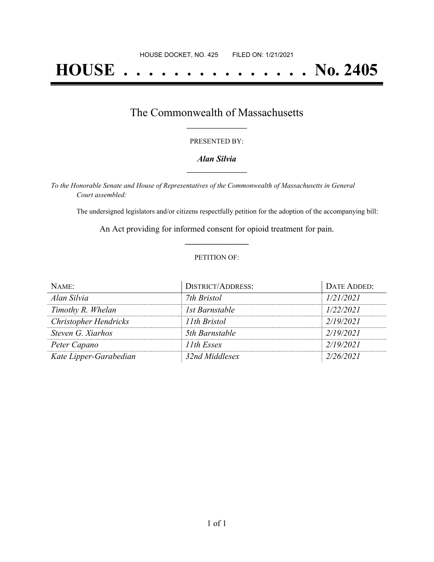# **HOUSE . . . . . . . . . . . . . . . No. 2405**

## The Commonwealth of Massachusetts **\_\_\_\_\_\_\_\_\_\_\_\_\_\_\_\_\_**

#### PRESENTED BY:

#### *Alan Silvia* **\_\_\_\_\_\_\_\_\_\_\_\_\_\_\_\_\_**

*To the Honorable Senate and House of Representatives of the Commonwealth of Massachusetts in General Court assembled:*

The undersigned legislators and/or citizens respectfully petition for the adoption of the accompanying bill:

An Act providing for informed consent for opioid treatment for pain. **\_\_\_\_\_\_\_\_\_\_\_\_\_\_\_**

#### PETITION OF:

| NAME:                        | <b>DISTRICT/ADDRESS:</b> | DATE ADDED: |
|------------------------------|--------------------------|-------------|
| Alan Silvia                  | 7th Bristol              | 1/21/2021   |
| Timothy R. Whelan            | 1st Barnstable           | 1/22/2021   |
| <b>Christopher Hendricks</b> | 11th Bristol             | 2/19/2021   |
| Steven G. Xiarhos            | 5th Barnstable           | 2/19/2021   |
| Peter Capano                 | 11th Essex               | 2/19/2021   |
| Kate Lipper-Garabedian       | 32nd Middlesex           | 2/26/2021   |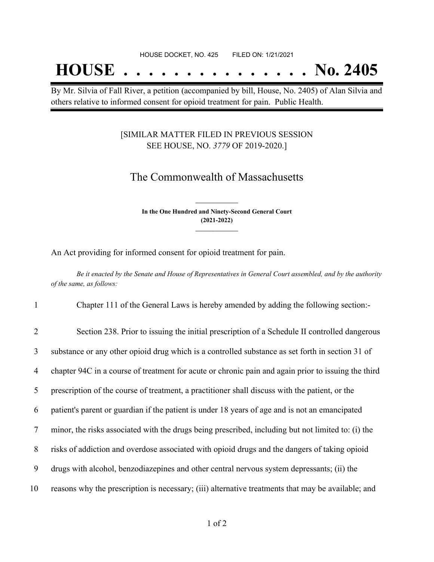# **HOUSE . . . . . . . . . . . . . . . No. 2405**

By Mr. Silvia of Fall River, a petition (accompanied by bill, House, No. 2405) of Alan Silvia and others relative to informed consent for opioid treatment for pain. Public Health.

#### [SIMILAR MATTER FILED IN PREVIOUS SESSION SEE HOUSE, NO. *3779* OF 2019-2020.]

### The Commonwealth of Massachusetts

**In the One Hundred and Ninety-Second General Court (2021-2022) \_\_\_\_\_\_\_\_\_\_\_\_\_\_\_**

**\_\_\_\_\_\_\_\_\_\_\_\_\_\_\_**

An Act providing for informed consent for opioid treatment for pain.

Be it enacted by the Senate and House of Representatives in General Court assembled, and by the authority *of the same, as follows:*

1 Chapter 111 of the General Laws is hereby amended by adding the following section:-

 Section 238. Prior to issuing the initial prescription of a Schedule II controlled dangerous substance or any other opioid drug which is a controlled substance as set forth in section 31 of chapter 94C in a course of treatment for acute or chronic pain and again prior to issuing the third prescription of the course of treatment, a practitioner shall discuss with the patient, or the patient's parent or guardian if the patient is under 18 years of age and is not an emancipated minor, the risks associated with the drugs being prescribed, including but not limited to: (i) the risks of addiction and overdose associated with opioid drugs and the dangers of taking opioid drugs with alcohol, benzodiazepines and other central nervous system depressants; (ii) the reasons why the prescription is necessary; (iii) alternative treatments that may be available; and